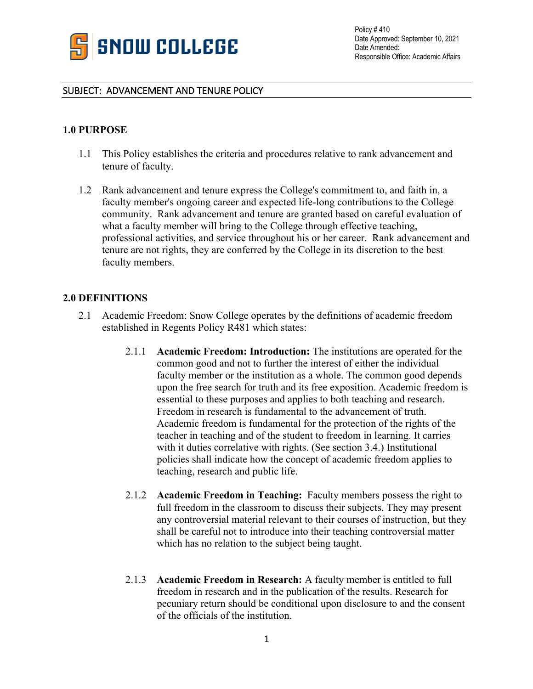

## SUBJECT: ADVANCEMENT AND TENURE POLICY

## **1.0 PURPOSE**

- 1.1 This Policy establishes the criteria and procedures relative to rank advancement and tenure of faculty.
- 1.2 Rank advancement and tenure express the College's commitment to, and faith in, a faculty member's ongoing career and expected life-long contributions to the College community. Rank advancement and tenure are granted based on careful evaluation of what a faculty member will bring to the College through effective teaching, professional activities, and service throughout his or her career. Rank advancement and tenure are not rights, they are conferred by the College in its discretion to the best faculty members.

### **2.0 DEFINITIONS**

- 2.1 Academic Freedom: Snow College operates by the definitions of academic freedom established in Regents Policy R481 which states:
	- 2.1.1 **Academic Freedom: Introduction:** The institutions are operated for the common good and not to further the interest of either the individual faculty member or the institution as a whole. The common good depends upon the free search for truth and its free exposition. Academic freedom is essential to these purposes and applies to both teaching and research. Freedom in research is fundamental to the advancement of truth. Academic freedom is fundamental for the protection of the rights of the teacher in teaching and of the student to freedom in learning. It carries with it duties correlative with rights. (See section 3.4.) Institutional policies shall indicate how the concept of academic freedom applies to teaching, research and public life.
	- 2.1.2 **Academic Freedom in Teaching:** Faculty members possess the right to full freedom in the classroom to discuss their subjects. They may present any controversial material relevant to their courses of instruction, but they shall be careful not to introduce into their teaching controversial matter which has no relation to the subject being taught.
	- 2.1.3 **Academic Freedom in Research:** A faculty member is entitled to full freedom in research and in the publication of the results. Research for pecuniary return should be conditional upon disclosure to and the consent of the officials of the institution.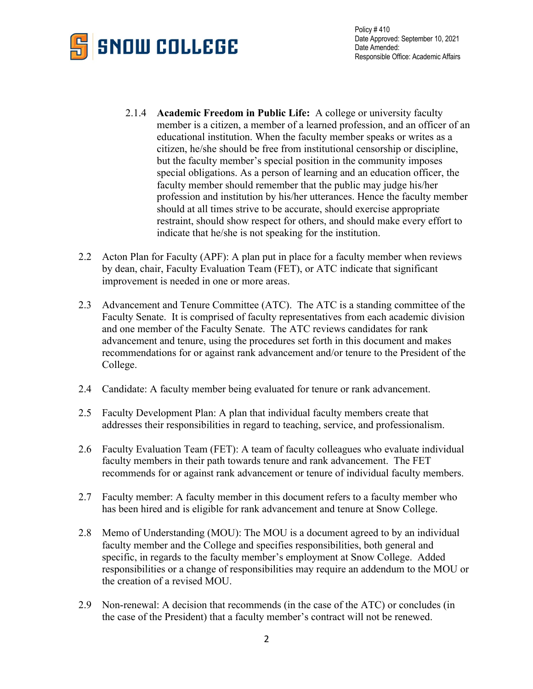

- 2.1.4 **Academic Freedom in Public Life:** A college or university faculty member is a citizen, a member of a learned profession, and an officer of an educational institution. When the faculty member speaks or writes as a citizen, he/she should be free from institutional censorship or discipline, but the faculty member's special position in the community imposes special obligations. As a person of learning and an education officer, the faculty member should remember that the public may judge his/her profession and institution by his/her utterances. Hence the faculty member should at all times strive to be accurate, should exercise appropriate restraint, should show respect for others, and should make every effort to indicate that he/she is not speaking for the institution.
- 2.2 Acton Plan for Faculty (APF): A plan put in place for a faculty member when reviews by dean, chair, Faculty Evaluation Team (FET), or ATC indicate that significant improvement is needed in one or more areas.
- 2.3 Advancement and Tenure Committee (ATC). The ATC is a standing committee of the Faculty Senate. It is comprised of faculty representatives from each academic division and one member of the Faculty Senate. The ATC reviews candidates for rank advancement and tenure, using the procedures set forth in this document and makes recommendations for or against rank advancement and/or tenure to the President of the College.
- 2.4 Candidate: A faculty member being evaluated for tenure or rank advancement.
- 2.5 Faculty Development Plan: A plan that individual faculty members create that addresses their responsibilities in regard to teaching, service, and professionalism.
- 2.6 Faculty Evaluation Team (FET): A team of faculty colleagues who evaluate individual faculty members in their path towards tenure and rank advancement. The FET recommends for or against rank advancement or tenure of individual faculty members.
- 2.7 Faculty member: A faculty member in this document refers to a faculty member who has been hired and is eligible for rank advancement and tenure at Snow College.
- 2.8 Memo of Understanding (MOU): The MOU is a document agreed to by an individual faculty member and the College and specifies responsibilities, both general and specific, in regards to the faculty member's employment at Snow College. Added responsibilities or a change of responsibilities may require an addendum to the MOU or the creation of a revised MOU.
- 2.9 Non-renewal: A decision that recommends (in the case of the ATC) or concludes (in the case of the President) that a faculty member's contract will not be renewed.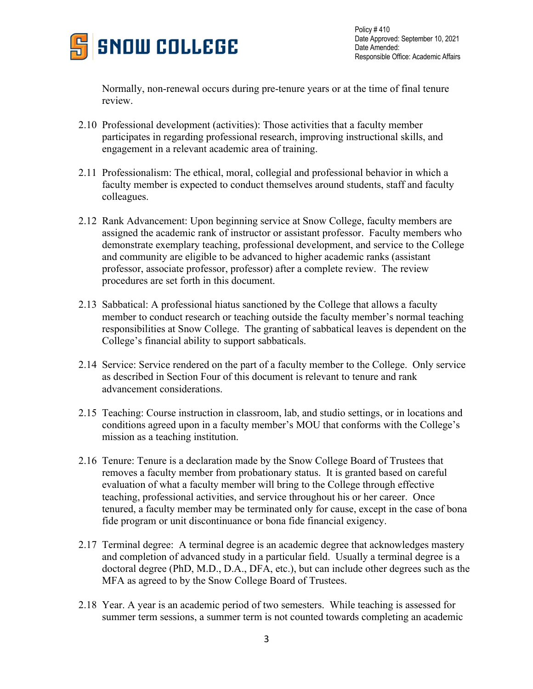

Normally, non-renewal occurs during pre-tenure years or at the time of final tenure review.

- 2.10 Professional development (activities): Those activities that a faculty member participates in regarding professional research, improving instructional skills, and engagement in a relevant academic area of training.
- 2.11 Professionalism: The ethical, moral, collegial and professional behavior in which a faculty member is expected to conduct themselves around students, staff and faculty colleagues.
- 2.12 Rank Advancement: Upon beginning service at Snow College, faculty members are assigned the academic rank of instructor or assistant professor. Faculty members who demonstrate exemplary teaching, professional development, and service to the College and community are eligible to be advanced to higher academic ranks (assistant professor, associate professor, professor) after a complete review. The review procedures are set forth in this document.
- 2.13 Sabbatical: A professional hiatus sanctioned by the College that allows a faculty member to conduct research or teaching outside the faculty member's normal teaching responsibilities at Snow College. The granting of sabbatical leaves is dependent on the College's financial ability to support sabbaticals.
- 2.14 Service: Service rendered on the part of a faculty member to the College. Only service as described in Section Four of this document is relevant to tenure and rank advancement considerations.
- 2.15 Teaching: Course instruction in classroom, lab, and studio settings, or in locations and conditions agreed upon in a faculty member's MOU that conforms with the College's mission as a teaching institution.
- 2.16 Tenure: Tenure is a declaration made by the Snow College Board of Trustees that removes a faculty member from probationary status. It is granted based on careful evaluation of what a faculty member will bring to the College through effective teaching, professional activities, and service throughout his or her career. Once tenured, a faculty member may be terminated only for cause, except in the case of bona fide program or unit discontinuance or bona fide financial exigency.
- 2.17 Terminal degree: A terminal degree is an academic degree that acknowledges mastery and completion of advanced study in a particular field. Usually a terminal degree is a doctoral degree (PhD, M.D., D.A., DFA, etc.), but can include other degrees such as the MFA as agreed to by the Snow College Board of Trustees.
- 2.18 Year. A year is an academic period of two semesters. While teaching is assessed for summer term sessions, a summer term is not counted towards completing an academic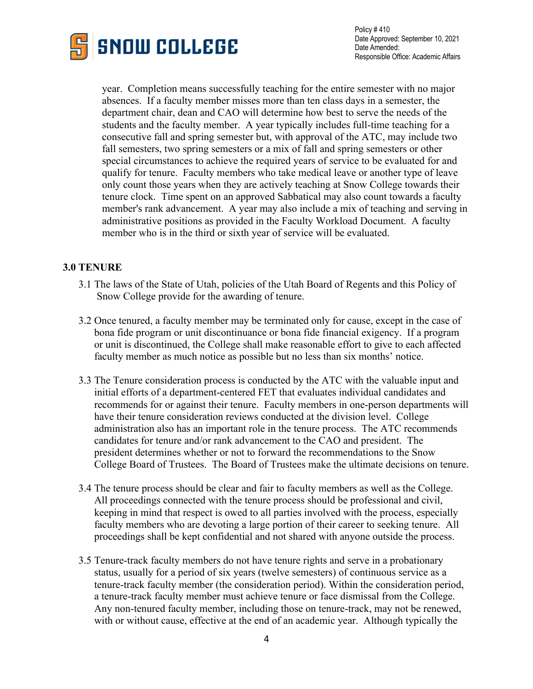

year. Completion means successfully teaching for the entire semester with no major absences. If a faculty member misses more than ten class days in a semester, the department chair, dean and CAO will determine how best to serve the needs of the students and the faculty member. A year typically includes full-time teaching for a consecutive fall and spring semester but, with approval of the ATC, may include two fall semesters, two spring semesters or a mix of fall and spring semesters or other special circumstances to achieve the required years of service to be evaluated for and qualify for tenure. Faculty members who take medical leave or another type of leave only count those years when they are actively teaching at Snow College towards their tenure clock. Time spent on an approved Sabbatical may also count towards a faculty member's rank advancement. A year may also include a mix of teaching and serving in administrative positions as provided in the Faculty Workload Document. A faculty member who is in the third or sixth year of service will be evaluated.

# **3.0 TENURE**

- 3.1 The laws of the State of Utah, policies of the Utah Board of Regents and this Policy of Snow College provide for the awarding of tenure.
- 3.2 Once tenured, a faculty member may be terminated only for cause, except in the case of bona fide program or unit discontinuance or bona fide financial exigency. If a program or unit is discontinued, the College shall make reasonable effort to give to each affected faculty member as much notice as possible but no less than six months' notice.
- 3.3 The Tenure consideration process is conducted by the ATC with the valuable input and initial efforts of a department-centered FET that evaluates individual candidates and recommends for or against their tenure. Faculty members in one-person departments will have their tenure consideration reviews conducted at the division level. College administration also has an important role in the tenure process. The ATC recommends candidates for tenure and/or rank advancement to the CAO and president. The president determines whether or not to forward the recommendations to the Snow College Board of Trustees. The Board of Trustees make the ultimate decisions on tenure.
- 3.4 The tenure process should be clear and fair to faculty members as well as the College. All proceedings connected with the tenure process should be professional and civil, keeping in mind that respect is owed to all parties involved with the process, especially faculty members who are devoting a large portion of their career to seeking tenure. All proceedings shall be kept confidential and not shared with anyone outside the process.
- 3.5 Tenure-track faculty members do not have tenure rights and serve in a probationary status, usually for a period of six years (twelve semesters) of continuous service as a tenure-track faculty member (the consideration period). Within the consideration period, a tenure-track faculty member must achieve tenure or face dismissal from the College. Any non-tenured faculty member, including those on tenure-track, may not be renewed, with or without cause, effective at the end of an academic year. Although typically the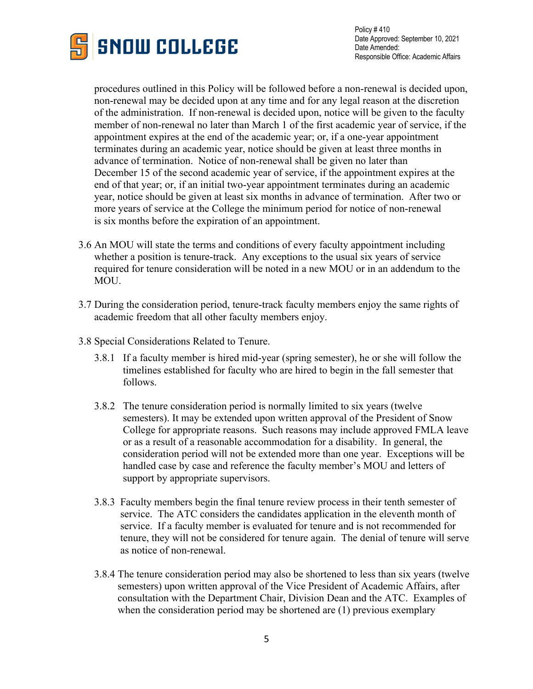

 procedures outlined in this Policy will be followed before a non-renewal is decided upon, non-renewal may be decided upon at any time and for any legal reason at the discretion of the administration. If non-renewal is decided upon, notice will be given to the faculty member of non-renewal no later than March 1 of the first academic year of service, if the appointment expires at the end of the academic year; or, if a one-year appointment terminates during an academic year, notice should be given at least three months in advance of termination. Notice of non-renewal shall be given no later than December 15 of the second academic year of service, if the appointment expires at the end of that year; or, if an initial two-year appointment terminates during an academic year, notice should be given at least six months in advance of termination. After two or more years of service at the College the minimum period for notice of non-renewal is six months before the expiration of an appointment.

- 3.6 An MOU will state the terms and conditions of every faculty appointment including whether a position is tenure-track. Any exceptions to the usual six years of service required for tenure consideration will be noted in a new MOU or in an addendum to the MOU.
- 3.7 During the consideration period, tenure-track faculty members enjoy the same rights of academic freedom that all other faculty members enjoy.
- 3.8 Special Considerations Related to Tenure.
	- 3.8.1 If a faculty member is hired mid-year (spring semester), he or she will follow the timelines established for faculty who are hired to begin in the fall semester that follows.
	- 3.8.2 The tenure consideration period is normally limited to six years (twelve semesters). It may be extended upon written approval of the President of Snow College for appropriate reasons. Such reasons may include approved FMLA leave or as a result of a reasonable accommodation for a disability. In general, the consideration period will not be extended more than one year. Exceptions will be handled case by case and reference the faculty member's MOU and letters of support by appropriate supervisors.
	- 3.8.3 Faculty members begin the final tenure review process in their tenth semester of service. The ATC considers the candidates application in the eleventh month of service. If a faculty member is evaluated for tenure and is not recommended for tenure, they will not be considered for tenure again. The denial of tenure will serve as notice of non-renewal.
	- 3.8.4 The tenure consideration period may also be shortened to less than six years (twelve semesters) upon written approval of the Vice President of Academic Affairs, after consultation with the Department Chair, Division Dean and the ATC. Examples of when the consideration period may be shortened are (1) previous exemplary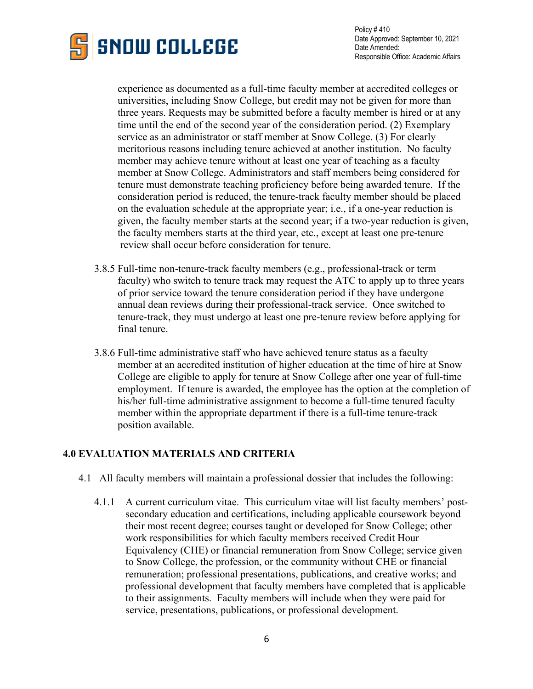

 experience as documented as a full-time faculty member at accredited colleges or universities, including Snow College, but credit may not be given for more than three years. Requests may be submitted before a faculty member is hired or at any time until the end of the second year of the consideration period. (2) Exemplary service as an administrator or staff member at Snow College. (3) For clearly meritorious reasons including tenure achieved at another institution. No faculty member may achieve tenure without at least one year of teaching as a faculty member at Snow College. Administrators and staff members being considered for tenure must demonstrate teaching proficiency before being awarded tenure. If the consideration period is reduced, the tenure-track faculty member should be placed on the evaluation schedule at the appropriate year; i.e., if a one-year reduction is given, the faculty member starts at the second year; if a two-year reduction is given, the faculty members starts at the third year, etc., except at least one pre-tenure review shall occur before consideration for tenure.

- 3.8.5 Full-time non-tenure-track faculty members (e.g., professional-track or term faculty) who switch to tenure track may request the ATC to apply up to three years of prior service toward the tenure consideration period if they have undergone annual dean reviews during their professional-track service. Once switched to tenure-track, they must undergo at least one pre-tenure review before applying for final tenure.
- 3.8.6 Full-time administrative staff who have achieved tenure status as a faculty member at an accredited institution of higher education at the time of hire at Snow College are eligible to apply for tenure at Snow College after one year of full-time employment. If tenure is awarded, the employee has the option at the completion of his/her full-time administrative assignment to become a full-time tenured faculty member within the appropriate department if there is a full-time tenure-track position available.

## **4.0 EVALUATION MATERIALS AND CRITERIA**

- 4.1 All faculty members will maintain a professional dossier that includes the following:
	- 4.1.1 A current curriculum vitae. This curriculum vitae will list faculty members' postsecondary education and certifications, including applicable coursework beyond their most recent degree; courses taught or developed for Snow College; other work responsibilities for which faculty members received Credit Hour Equivalency (CHE) or financial remuneration from Snow College; service given to Snow College, the profession, or the community without CHE or financial remuneration; professional presentations, publications, and creative works; and professional development that faculty members have completed that is applicable to their assignments. Faculty members will include when they were paid for service, presentations, publications, or professional development.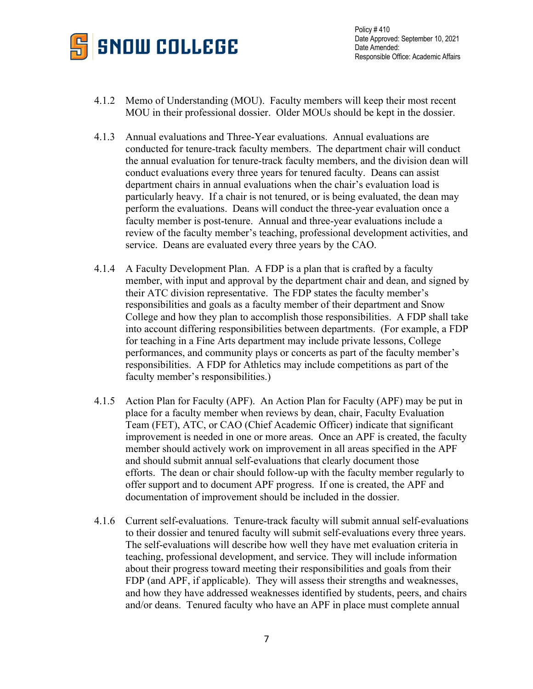

- 4.1.2 Memo of Understanding (MOU). Faculty members will keep their most recent MOU in their professional dossier. Older MOUs should be kept in the dossier.
- 4.1.3 Annual evaluations and Three-Year evaluations. Annual evaluations are conducted for tenure-track faculty members. The department chair will conduct the annual evaluation for tenure-track faculty members, and the division dean will conduct evaluations every three years for tenured faculty. Deans can assist department chairs in annual evaluations when the chair's evaluation load is particularly heavy. If a chair is not tenured, or is being evaluated, the dean may perform the evaluations. Deans will conduct the three-year evaluation once a faculty member is post-tenure. Annual and three-year evaluations include a review of the faculty member's teaching, professional development activities, and service. Deans are evaluated every three years by the CAO.
- 4.1.4 A Faculty Development Plan. A FDP is a plan that is crafted by a faculty member, with input and approval by the department chair and dean, and signed by their ATC division representative. The FDP states the faculty member's responsibilities and goals as a faculty member of their department and Snow College and how they plan to accomplish those responsibilities. A FDP shall take into account differing responsibilities between departments. (For example, a FDP for teaching in a Fine Arts department may include private lessons, College performances, and community plays or concerts as part of the faculty member's responsibilities. A FDP for Athletics may include competitions as part of the faculty member's responsibilities.)
- 4.1.5 Action Plan for Faculty (APF). An Action Plan for Faculty (APF) may be put in place for a faculty member when reviews by dean, chair, Faculty Evaluation Team (FET), ATC, or CAO (Chief Academic Officer) indicate that significant improvement is needed in one or more areas. Once an APF is created, the faculty member should actively work on improvement in all areas specified in the APF and should submit annual self-evaluations that clearly document those efforts. The dean or chair should follow-up with the faculty member regularly to offer support and to document APF progress. If one is created, the APF and documentation of improvement should be included in the dossier.
- 4.1.6 Current self-evaluations. Tenure-track faculty will submit annual self-evaluations to their dossier and tenured faculty will submit self-evaluations every three years. The self-evaluations will describe how well they have met evaluation criteria in teaching, professional development, and service. They will include information about their progress toward meeting their responsibilities and goals from their FDP (and APF, if applicable). They will assess their strengths and weaknesses, and how they have addressed weaknesses identified by students, peers, and chairs and/or deans. Tenured faculty who have an APF in place must complete annual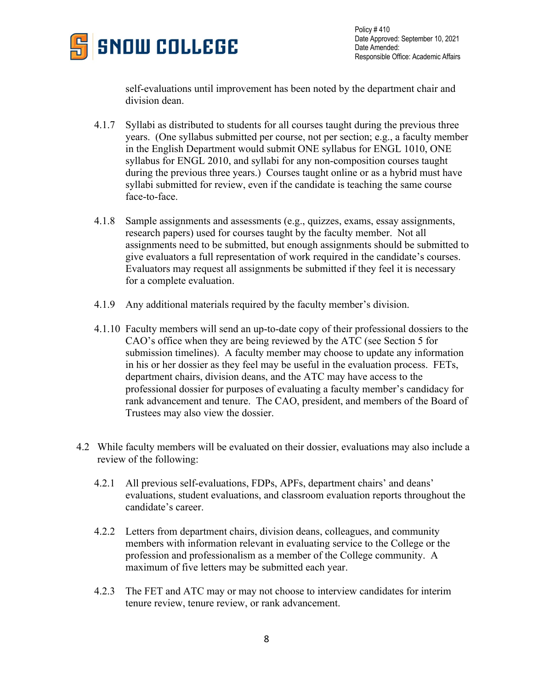

self-evaluations until improvement has been noted by the department chair and division dean.

- 4.1.7 Syllabi as distributed to students for all courses taught during the previous three years. (One syllabus submitted per course, not per section; e.g., a faculty member in the English Department would submit ONE syllabus for ENGL 1010, ONE syllabus for ENGL 2010, and syllabi for any non-composition courses taught during the previous three years.) Courses taught online or as a hybrid must have syllabi submitted for review, even if the candidate is teaching the same course face-to-face.
- 4.1.8 Sample assignments and assessments (e.g., quizzes, exams, essay assignments, research papers) used for courses taught by the faculty member. Not all assignments need to be submitted, but enough assignments should be submitted to give evaluators a full representation of work required in the candidate's courses. Evaluators may request all assignments be submitted if they feel it is necessary for a complete evaluation.
- 4.1.9 Any additional materials required by the faculty member's division.
- 4.1.10 Faculty members will send an up-to-date copy of their professional dossiers to the CAO's office when they are being reviewed by the ATC (see Section 5 for submission timelines). A faculty member may choose to update any information in his or her dossier as they feel may be useful in the evaluation process. FETs, department chairs, division deans, and the ATC may have access to the professional dossier for purposes of evaluating a faculty member's candidacy for rank advancement and tenure. The CAO, president, and members of the Board of Trustees may also view the dossier.
- 4.2 While faculty members will be evaluated on their dossier, evaluations may also include a review of the following:
	- 4.2.1 All previous self-evaluations, FDPs, APFs, department chairs' and deans' evaluations, student evaluations, and classroom evaluation reports throughout the candidate's career.
	- 4.2.2 Letters from department chairs, division deans, colleagues, and community members with information relevant in evaluating service to the College or the profession and professionalism as a member of the College community. A maximum of five letters may be submitted each year.
	- 4.2.3 The FET and ATC may or may not choose to interview candidates for interim tenure review, tenure review, or rank advancement.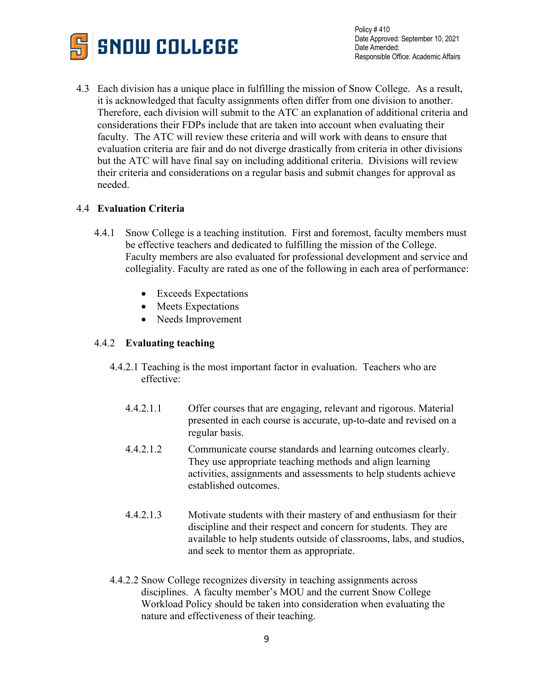

4.3 Each division has a unique place in fulfilling the mission of Snow College. As a result, it is acknowledged that faculty assignments often differ from one division to another. Therefore, each division will submit to the ATC an explanation of additional criteria and considerations their FDPs include that are taken into account when evaluating their faculty. The ATC will review these criteria and will work with deans to ensure that evaluation criteria are fair and do not diverge drastically from criteria in other divisions but the ATC will have final say on including additional criteria. Divisions will review their criteria and considerations on a regular basis and submit changes for approval as needed.

## 4.4 **Evaluation Criteria**

- 4.4.1 Snow College is a teaching institution. First and foremost, faculty members must be effective teachers and dedicated to fulfilling the mission of the College. Faculty members are also evaluated for professional development and service and collegiality. Faculty are rated as one of the following in each area of performance:
	- Exceeds Expectations
	- Meets Expectations
	- Needs Improvement

## 4.4.2 **Evaluating teaching**

- 4.4.2.1 Teaching is the most important factor in evaluation. Teachers who are effective:
	- 4.4.2.1.1 Offer courses that are engaging, relevant and rigorous. Material presented in each course is accurate, up-to-date and revised on a regular basis.
	- 4.4.2.1.2 Communicate course standards and learning outcomes clearly. They use appropriate teaching methods and align learning activities, assignments and assessments to help students achieve established outcomes.
	- 4.4.2.1.3 Motivate students with their mastery of and enthusiasm for their discipline and their respect and concern for students. They are available to help students outside of classrooms, labs, and studios, and seek to mentor them as appropriate.
- 4.4.2.2 Snow College recognizes diversity in teaching assignments across disciplines. A faculty member's MOU and the current Snow College Workload Policy should be taken into consideration when evaluating the nature and effectiveness of their teaching.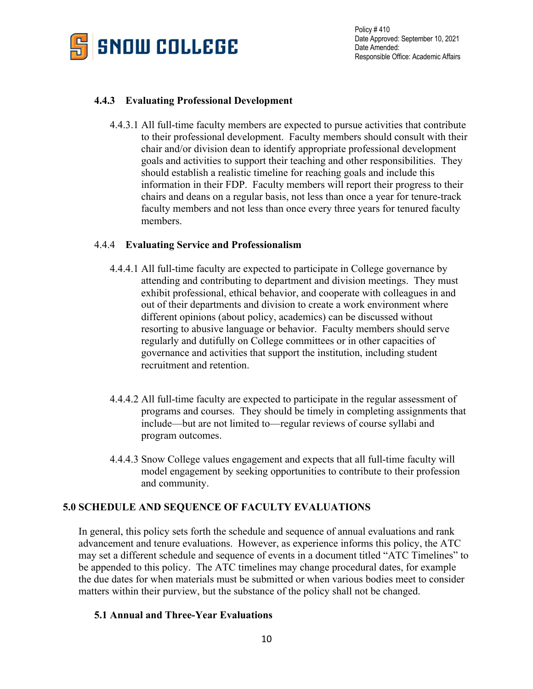

# **4.4.3 Evaluating Professional Development**

4.4.3.1 All full-time faculty members are expected to pursue activities that contribute to their professional development. Faculty members should consult with their chair and/or division dean to identify appropriate professional development goals and activities to support their teaching and other responsibilities. They should establish a realistic timeline for reaching goals and include this information in their FDP. Faculty members will report their progress to their chairs and deans on a regular basis, not less than once a year for tenure-track faculty members and not less than once every three years for tenured faculty members.

# 4.4.4 **Evaluating Service and Professionalism**

- 4.4.4.1 All full-time faculty are expected to participate in College governance by attending and contributing to department and division meetings. They must exhibit professional, ethical behavior, and cooperate with colleagues in and out of their departments and division to create a work environment where different opinions (about policy, academics) can be discussed without resorting to abusive language or behavior. Faculty members should serve regularly and dutifully on College committees or in other capacities of governance and activities that support the institution, including student recruitment and retention.
- 4.4.4.2 All full-time faculty are expected to participate in the regular assessment of programs and courses. They should be timely in completing assignments that include—but are not limited to—regular reviews of course syllabi and program outcomes.
- 4.4.4.3 Snow College values engagement and expects that all full-time faculty will model engagement by seeking opportunities to contribute to their profession and community.

# **5.0 SCHEDULE AND SEQUENCE OF FACULTY EVALUATIONS**

In general, this policy sets forth the schedule and sequence of annual evaluations and rank advancement and tenure evaluations. However, as experience informs this policy, the ATC may set a different schedule and sequence of events in a document titled "ATC Timelines" to be appended to this policy. The ATC timelines may change procedural dates, for example the due dates for when materials must be submitted or when various bodies meet to consider matters within their purview, but the substance of the policy shall not be changed.

# **5.1 Annual and Three-Year Evaluations**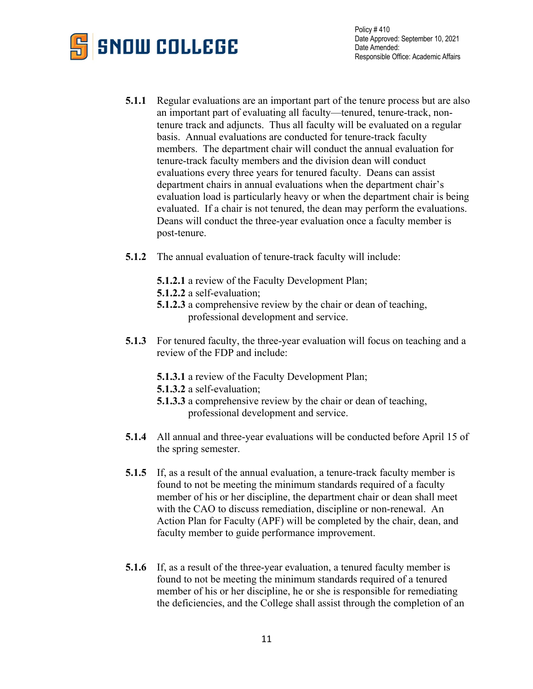

- **5.1.1** Regular evaluations are an important part of the tenure process but are also an important part of evaluating all faculty—tenured, tenure-track, nontenure track and adjuncts. Thus all faculty will be evaluated on a regular basis. Annual evaluations are conducted for tenure-track faculty members. The department chair will conduct the annual evaluation for tenure-track faculty members and the division dean will conduct evaluations every three years for tenured faculty. Deans can assist department chairs in annual evaluations when the department chair's evaluation load is particularly heavy or when the department chair is being evaluated. If a chair is not tenured, the dean may perform the evaluations. Deans will conduct the three-year evaluation once a faculty member is post-tenure.
- **5.1.2** The annual evaluation of tenure-track faculty will include:
	- **5.1.2.1** a review of the Faculty Development Plan;
	- **5.1.2.2** a self-evaluation;
	- **5.1.2.3** a comprehensive review by the chair or dean of teaching, professional development and service.
- **5.1.3** For tenured faculty, the three-year evaluation will focus on teaching and a review of the FDP and include:
	- **5.1.3.1** a review of the Faculty Development Plan;
	- **5.1.3.2** a self-evaluation;
	- **5.1.3.3** a comprehensive review by the chair or dean of teaching, professional development and service.
- **5.1.4** All annual and three-year evaluations will be conducted before April 15 of the spring semester.
- **5.1.5** If, as a result of the annual evaluation, a tenure-track faculty member is found to not be meeting the minimum standards required of a faculty member of his or her discipline, the department chair or dean shall meet with the CAO to discuss remediation, discipline or non-renewal. An Action Plan for Faculty (APF) will be completed by the chair, dean, and faculty member to guide performance improvement.
- **5.1.6** If, as a result of the three-year evaluation, a tenured faculty member is found to not be meeting the minimum standards required of a tenured member of his or her discipline, he or she is responsible for remediating the deficiencies, and the College shall assist through the completion of an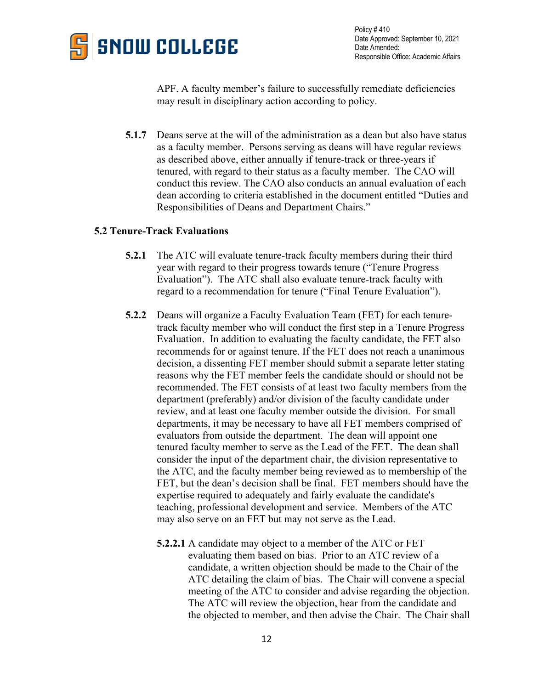

APF. A faculty member's failure to successfully remediate deficiencies may result in disciplinary action according to policy.

**5.1.7** Deans serve at the will of the administration as a dean but also have status as a faculty member. Persons serving as deans will have regular reviews as described above, either annually if tenure-track or three-years if tenured, with regard to their status as a faculty member. The CAO will conduct this review. The CAO also conducts an annual evaluation of each dean according to criteria established in the document entitled "Duties and Responsibilities of Deans and Department Chairs."

### **5.2 Tenure-Track Evaluations**

- **5.2.1** The ATC will evaluate tenure-track faculty members during their third year with regard to their progress towards tenure ("Tenure Progress Evaluation"). The ATC shall also evaluate tenure-track faculty with regard to a recommendation for tenure ("Final Tenure Evaluation").
- **5.2.2** Deans will organize a Faculty Evaluation Team (FET) for each tenuretrack faculty member who will conduct the first step in a Tenure Progress Evaluation. In addition to evaluating the faculty candidate, the FET also recommends for or against tenure. If the FET does not reach a unanimous decision, a dissenting FET member should submit a separate letter stating reasons why the FET member feels the candidate should or should not be recommended. The FET consists of at least two faculty members from the department (preferably) and/or division of the faculty candidate under review, and at least one faculty member outside the division. For small departments, it may be necessary to have all FET members comprised of evaluators from outside the department. The dean will appoint one tenured faculty member to serve as the Lead of the FET. The dean shall consider the input of the department chair, the division representative to the ATC, and the faculty member being reviewed as to membership of the FET, but the dean's decision shall be final. FET members should have the expertise required to adequately and fairly evaluate the candidate's teaching, professional development and service. Members of the ATC may also serve on an FET but may not serve as the Lead.
	- **5.2.2.1** A candidate may object to a member of the ATC or FET evaluating them based on bias. Prior to an ATC review of a candidate, a written objection should be made to the Chair of the ATC detailing the claim of bias. The Chair will convene a special meeting of the ATC to consider and advise regarding the objection. The ATC will review the objection, hear from the candidate and the objected to member, and then advise the Chair. The Chair shall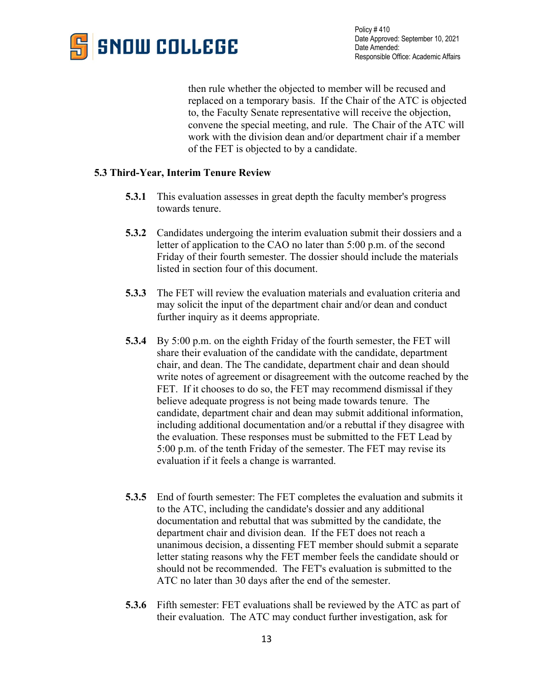

then rule whether the objected to member will be recused and replaced on a temporary basis. If the Chair of the ATC is objected to, the Faculty Senate representative will receive the objection, convene the special meeting, and rule. The Chair of the ATC will work with the division dean and/or department chair if a member of the FET is objected to by a candidate.

## **5.3 Third-Year, Interim Tenure Review**

- **5.3.1** This evaluation assesses in great depth the faculty member's progress towards tenure.
- **5.3.2** Candidates undergoing the interim evaluation submit their dossiers and a letter of application to the CAO no later than 5:00 p.m. of the second Friday of their fourth semester. The dossier should include the materials listed in section four of this document.
- **5.3.3** The FET will review the evaluation materials and evaluation criteria and may solicit the input of the department chair and/or dean and conduct further inquiry as it deems appropriate.
- **5.3.4** By 5:00 p.m. on the eighth Friday of the fourth semester, the FET will share their evaluation of the candidate with the candidate, department chair, and dean. The The candidate, department chair and dean should write notes of agreement or disagreement with the outcome reached by the FET. If it chooses to do so, the FET may recommend dismissal if they believe adequate progress is not being made towards tenure. The candidate, department chair and dean may submit additional information, including additional documentation and/or a rebuttal if they disagree with the evaluation. These responses must be submitted to the FET Lead by 5:00 p.m. of the tenth Friday of the semester. The FET may revise its evaluation if it feels a change is warranted.
- **5.3.5** End of fourth semester: The FET completes the evaluation and submits it to the ATC, including the candidate's dossier and any additional documentation and rebuttal that was submitted by the candidate, the department chair and division dean. If the FET does not reach a unanimous decision, a dissenting FET member should submit a separate letter stating reasons why the FET member feels the candidate should or should not be recommended. The FET's evaluation is submitted to the ATC no later than 30 days after the end of the semester.
- **5.3.6** Fifth semester: FET evaluations shall be reviewed by the ATC as part of their evaluation. The ATC may conduct further investigation, ask for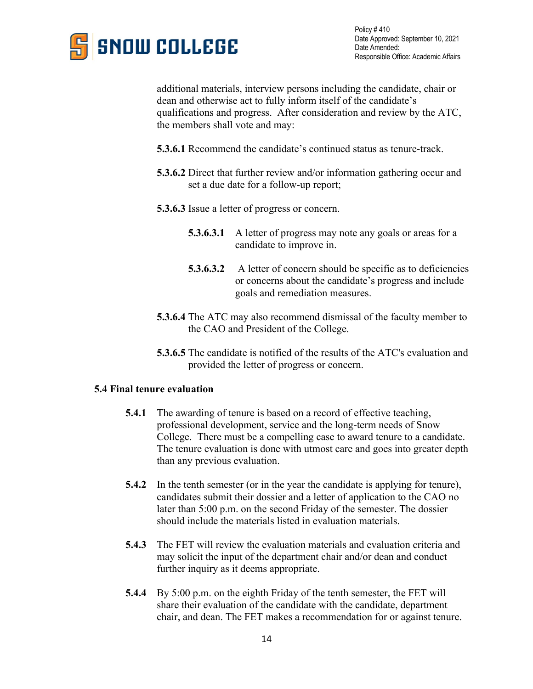

additional materials, interview persons including the candidate, chair or dean and otherwise act to fully inform itself of the candidate's qualifications and progress. After consideration and review by the ATC, the members shall vote and may:

- **5.3.6.1** Recommend the candidate's continued status as tenure-track.
- **5.3.6.2** Direct that further review and/or information gathering occur and set a due date for a follow-up report;
- **5.3.6.3** Issue a letter of progress or concern.
	- **5.3.6.3.1** A letter of progress may note any goals or areas for a candidate to improve in.
	- **5.3.6.3.2** A letter of concern should be specific as to deficiencies or concerns about the candidate's progress and include goals and remediation measures.
- **5.3.6.4** The ATC may also recommend dismissal of the faculty member to the CAO and President of the College.
- **5.3.6.5** The candidate is notified of the results of the ATC's evaluation and provided the letter of progress or concern.

#### **5.4 Final tenure evaluation**

- **5.4.1** The awarding of tenure is based on a record of effective teaching, professional development, service and the long-term needs of Snow College. There must be a compelling case to award tenure to a candidate. The tenure evaluation is done with utmost care and goes into greater depth than any previous evaluation.
- **5.4.2** In the tenth semester (or in the year the candidate is applying for tenure), candidates submit their dossier and a letter of application to the CAO no later than 5:00 p.m. on the second Friday of the semester. The dossier should include the materials listed in evaluation materials.
- **5.4.3** The FET will review the evaluation materials and evaluation criteria and may solicit the input of the department chair and/or dean and conduct further inquiry as it deems appropriate.
- **5.4.4** By 5:00 p.m. on the eighth Friday of the tenth semester, the FET will share their evaluation of the candidate with the candidate, department chair, and dean. The FET makes a recommendation for or against tenure.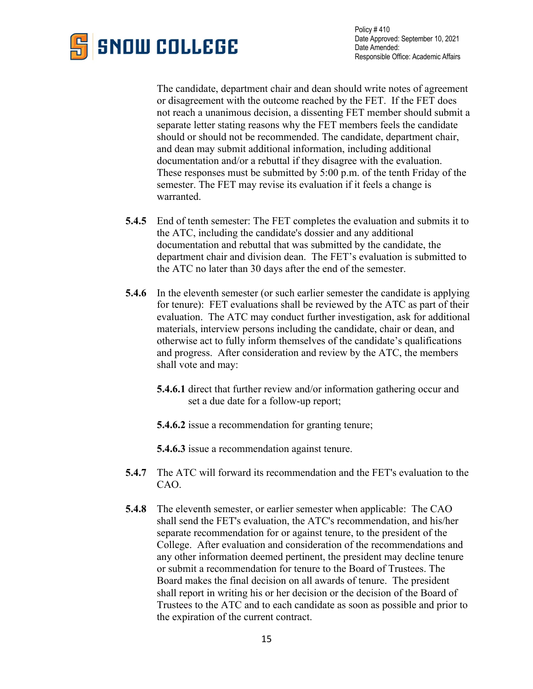

The candidate, department chair and dean should write notes of agreement or disagreement with the outcome reached by the FET. If the FET does not reach a unanimous decision, a dissenting FET member should submit a separate letter stating reasons why the FET members feels the candidate should or should not be recommended. The candidate, department chair, and dean may submit additional information, including additional documentation and/or a rebuttal if they disagree with the evaluation. These responses must be submitted by 5:00 p.m. of the tenth Friday of the semester. The FET may revise its evaluation if it feels a change is warranted.

- **5.4.5** End of tenth semester: The FET completes the evaluation and submits it to the ATC, including the candidate's dossier and any additional documentation and rebuttal that was submitted by the candidate, the department chair and division dean. The FET's evaluation is submitted to the ATC no later than 30 days after the end of the semester.
- **5.4.6** In the eleventh semester (or such earlier semester the candidate is applying for tenure): FET evaluations shall be reviewed by the ATC as part of their evaluation. The ATC may conduct further investigation, ask for additional materials, interview persons including the candidate, chair or dean, and otherwise act to fully inform themselves of the candidate's qualifications and progress. After consideration and review by the ATC, the members shall vote and may:
	- **5.4.6.1** direct that further review and/or information gathering occur and set a due date for a follow-up report;
	- **5.4.6.2** issue a recommendation for granting tenure;

**5.4.6.3** issue a recommendation against tenure.

- **5.4.7** The ATC will forward its recommendation and the FET's evaluation to the CAO.
- **5.4.8** The eleventh semester, or earlier semester when applicable: The CAO shall send the FET's evaluation, the ATC's recommendation, and his/her separate recommendation for or against tenure, to the president of the College. After evaluation and consideration of the recommendations and any other information deemed pertinent, the president may decline tenure or submit a recommendation for tenure to the Board of Trustees. The Board makes the final decision on all awards of tenure. The president shall report in writing his or her decision or the decision of the Board of Trustees to the ATC and to each candidate as soon as possible and prior to the expiration of the current contract.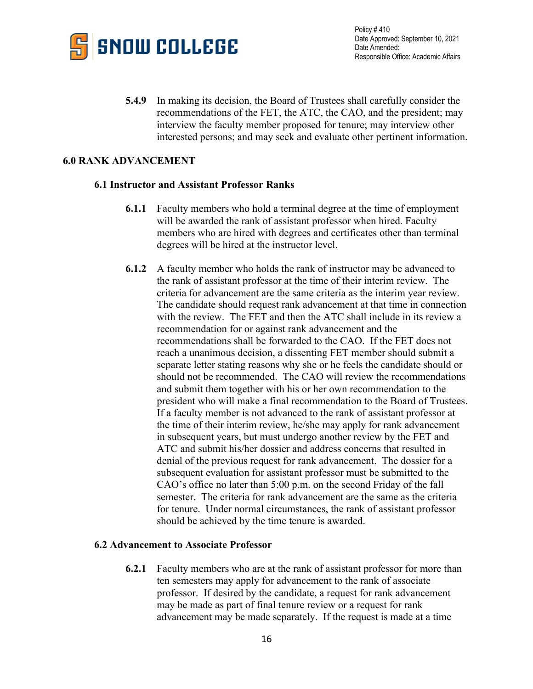

**5.4.9** In making its decision, the Board of Trustees shall carefully consider the recommendations of the FET, the ATC, the CAO, and the president; may interview the faculty member proposed for tenure; may interview other interested persons; and may seek and evaluate other pertinent information.

## **6.0 RANK ADVANCEMENT**

#### **6.1 Instructor and Assistant Professor Ranks**

- **6.1.1** Faculty members who hold a terminal degree at the time of employment will be awarded the rank of assistant professor when hired. Faculty members who are hired with degrees and certificates other than terminal degrees will be hired at the instructor level.
- **6.1.2** A faculty member who holds the rank of instructor may be advanced to the rank of assistant professor at the time of their interim review. The criteria for advancement are the same criteria as the interim year review. The candidate should request rank advancement at that time in connection with the review. The FET and then the ATC shall include in its review a recommendation for or against rank advancement and the recommendations shall be forwarded to the CAO. If the FET does not reach a unanimous decision, a dissenting FET member should submit a separate letter stating reasons why she or he feels the candidate should or should not be recommended. The CAO will review the recommendations and submit them together with his or her own recommendation to the president who will make a final recommendation to the Board of Trustees. If a faculty member is not advanced to the rank of assistant professor at the time of their interim review, he/she may apply for rank advancement in subsequent years, but must undergo another review by the FET and ATC and submit his/her dossier and address concerns that resulted in denial of the previous request for rank advancement. The dossier for a subsequent evaluation for assistant professor must be submitted to the CAO's office no later than 5:00 p.m. on the second Friday of the fall semester. The criteria for rank advancement are the same as the criteria for tenure. Under normal circumstances, the rank of assistant professor should be achieved by the time tenure is awarded.

#### **6.2 Advancement to Associate Professor**

**6.2.1** Faculty members who are at the rank of assistant professor for more than ten semesters may apply for advancement to the rank of associate professor. If desired by the candidate, a request for rank advancement may be made as part of final tenure review or a request for rank advancement may be made separately. If the request is made at a time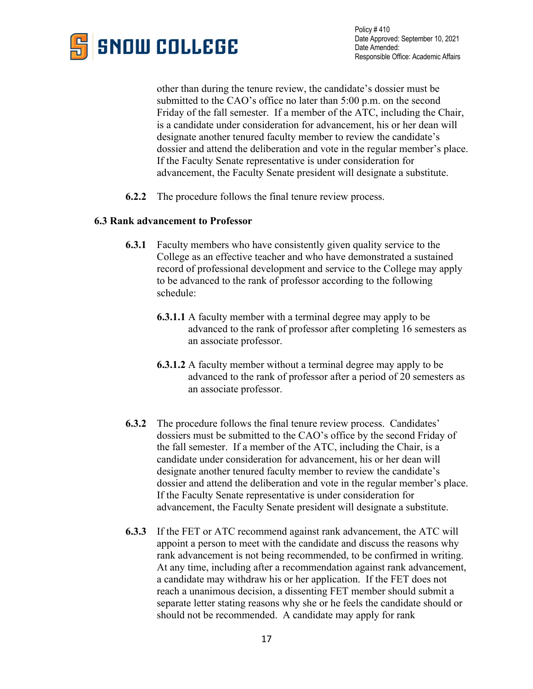

other than during the tenure review, the candidate's dossier must be submitted to the CAO's office no later than 5:00 p.m. on the second Friday of the fall semester. If a member of the ATC, including the Chair, is a candidate under consideration for advancement, his or her dean will designate another tenured faculty member to review the candidate's dossier and attend the deliberation and vote in the regular member's place. If the Faculty Senate representative is under consideration for advancement, the Faculty Senate president will designate a substitute.

**6.2.2** The procedure follows the final tenure review process.

### **6.3 Rank advancement to Professor**

- **6.3.1** Faculty members who have consistently given quality service to the College as an effective teacher and who have demonstrated a sustained record of professional development and service to the College may apply to be advanced to the rank of professor according to the following schedule:
	- **6.3.1.1** A faculty member with a terminal degree may apply to be advanced to the rank of professor after completing 16 semesters as an associate professor.
	- **6.3.1.2** A faculty member without a terminal degree may apply to be advanced to the rank of professor after a period of 20 semesters as an associate professor.
- **6.3.2** The procedure follows the final tenure review process. Candidates' dossiers must be submitted to the CAO's office by the second Friday of the fall semester. If a member of the ATC, including the Chair, is a candidate under consideration for advancement, his or her dean will designate another tenured faculty member to review the candidate's dossier and attend the deliberation and vote in the regular member's place. If the Faculty Senate representative is under consideration for advancement, the Faculty Senate president will designate a substitute.
- **6.3.3** If the FET or ATC recommend against rank advancement, the ATC will appoint a person to meet with the candidate and discuss the reasons why rank advancement is not being recommended, to be confirmed in writing. At any time, including after a recommendation against rank advancement, a candidate may withdraw his or her application. If the FET does not reach a unanimous decision, a dissenting FET member should submit a separate letter stating reasons why she or he feels the candidate should or should not be recommended. A candidate may apply for rank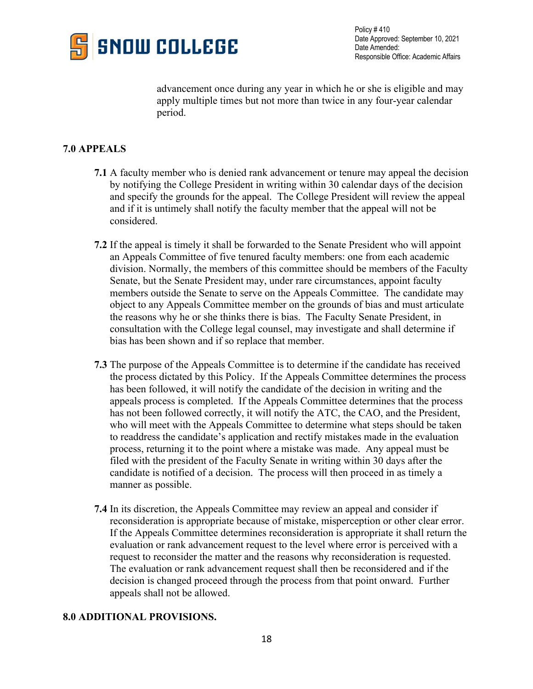

advancement once during any year in which he or she is eligible and may apply multiple times but not more than twice in any four-year calendar period.

# **7.0 APPEALS**

- **7.1** A faculty member who is denied rank advancement or tenure may appeal the decision by notifying the College President in writing within 30 calendar days of the decision and specify the grounds for the appeal. The College President will review the appeal and if it is untimely shall notify the faculty member that the appeal will not be considered.
- **7.2** If the appeal is timely it shall be forwarded to the Senate President who will appoint an Appeals Committee of five tenured faculty members: one from each academic division. Normally, the members of this committee should be members of the Faculty Senate, but the Senate President may, under rare circumstances, appoint faculty members outside the Senate to serve on the Appeals Committee. The candidate may object to any Appeals Committee member on the grounds of bias and must articulate the reasons why he or she thinks there is bias. The Faculty Senate President, in consultation with the College legal counsel, may investigate and shall determine if bias has been shown and if so replace that member.
- **7.3** The purpose of the Appeals Committee is to determine if the candidate has received the process dictated by this Policy. If the Appeals Committee determines the process has been followed, it will notify the candidate of the decision in writing and the appeals process is completed. If the Appeals Committee determines that the process has not been followed correctly, it will notify the ATC, the CAO, and the President, who will meet with the Appeals Committee to determine what steps should be taken to readdress the candidate's application and rectify mistakes made in the evaluation process, returning it to the point where a mistake was made. Any appeal must be filed with the president of the Faculty Senate in writing within 30 days after the candidate is notified of a decision. The process will then proceed in as timely a manner as possible.
- **7.4** In its discretion, the Appeals Committee may review an appeal and consider if reconsideration is appropriate because of mistake, misperception or other clear error. If the Appeals Committee determines reconsideration is appropriate it shall return the evaluation or rank advancement request to the level where error is perceived with a request to reconsider the matter and the reasons why reconsideration is requested. The evaluation or rank advancement request shall then be reconsidered and if the decision is changed proceed through the process from that point onward. Further appeals shall not be allowed.

## **8.0 ADDITIONAL PROVISIONS.**